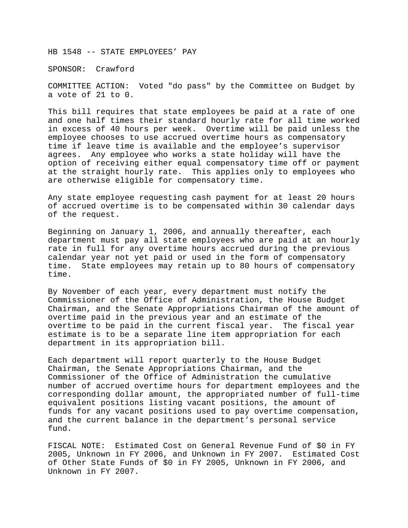HB 1548 -- STATE EMPLOYEES' PAY

SPONSOR: Crawford

COMMITTEE ACTION: Voted "do pass" by the Committee on Budget by a vote of 21 to 0.

This bill requires that state employees be paid at a rate of one and one half times their standard hourly rate for all time worked in excess of 40 hours per week. Overtime will be paid unless the employee chooses to use accrued overtime hours as compensatory time if leave time is available and the employee's supervisor agrees. Any employee who works a state holiday will have the option of receiving either equal compensatory time off or payment at the straight hourly rate. This applies only to employees who are otherwise eligible for compensatory time.

Any state employee requesting cash payment for at least 20 hours of accrued overtime is to be compensated within 30 calendar days of the request.

Beginning on January 1, 2006, and annually thereafter, each department must pay all state employees who are paid at an hourly rate in full for any overtime hours accrued during the previous calendar year not yet paid or used in the form of compensatory time. State employees may retain up to 80 hours of compensatory time.

By November of each year, every department must notify the Commissioner of the Office of Administration, the House Budget Chairman, and the Senate Appropriations Chairman of the amount of overtime paid in the previous year and an estimate of the overtime to be paid in the current fiscal year. The fiscal year estimate is to be a separate line item appropriation for each department in its appropriation bill.

Each department will report quarterly to the House Budget Chairman, the Senate Appropriations Chairman, and the Commissioner of the Office of Administration the cumulative number of accrued overtime hours for department employees and the corresponding dollar amount, the appropriated number of full-time equivalent positions listing vacant positions, the amount of funds for any vacant positions used to pay overtime compensation, and the current balance in the department's personal service fund.

FISCAL NOTE: Estimated Cost on General Revenue Fund of \$0 in FY 2005, Unknown in FY 2006, and Unknown in FY 2007. Estimated Cost of Other State Funds of \$0 in FY 2005, Unknown in FY 2006, and Unknown in FY 2007.